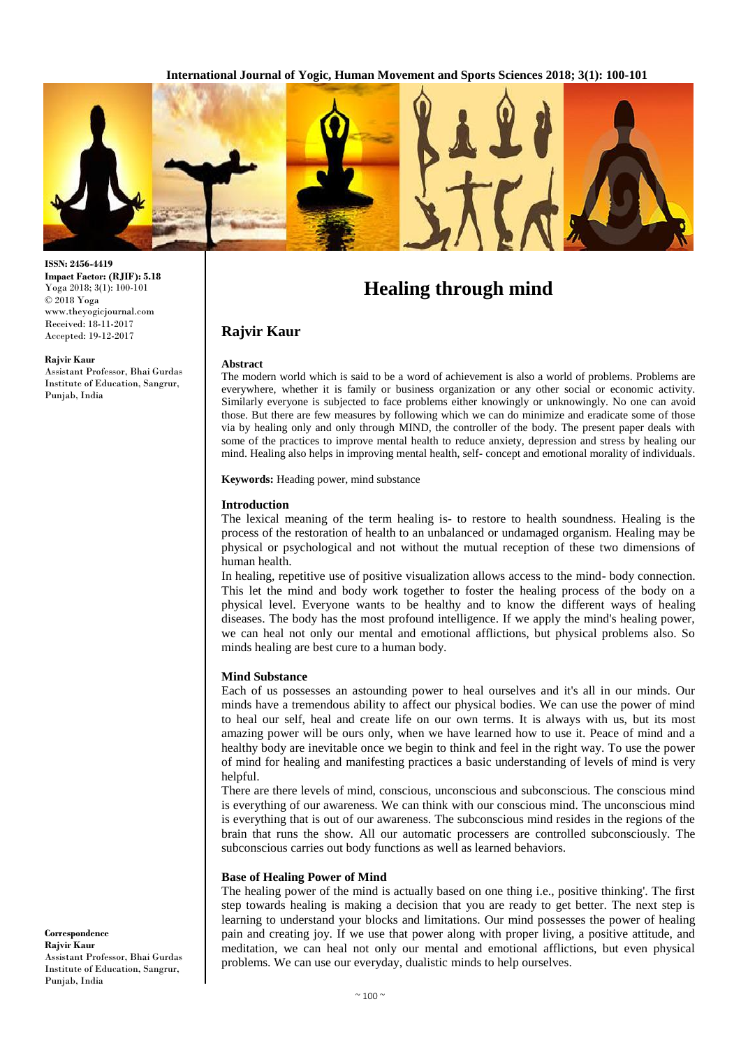

**ISSN: 2456-4419 Impact Factor: (RJIF): 5.18** Yoga 2018; 3(1): 100-101 © 2018 Yoga www.theyogicjournal.com Received: 18-11-2017 Accepted: 19-12-2017

#### **Rajvir Kaur**

Assistant Professor, Bhai Gurdas Institute of Education, Sangrur, Punjab, India

**Healing through mind**

# **Rajvir Kaur**

#### **Abstract**

The modern world which is said to be a word of achievement is also a world of problems. Problems are everywhere, whether it is family or business organization or any other social or economic activity. Similarly everyone is subjected to face problems either knowingly or unknowingly. No one can avoid those. But there are few measures by following which we can do minimize and eradicate some of those via by healing only and only through MIND, the controller of the body. The present paper deals with some of the practices to improve mental health to reduce anxiety, depression and stress by healing our mind. Healing also helps in improving mental health, self- concept and emotional morality of individuals.

**Keywords:** Heading power, mind substance

#### **Introduction**

The lexical meaning of the term healing is- to restore to health soundness. Healing is the process of the restoration of health to an unbalanced or undamaged organism. Healing may be physical or psychological and not without the mutual reception of these two dimensions of human health.

In healing, repetitive use of positive visualization allows access to the mind- body connection. This let the mind and body work together to foster the healing process of the body on a physical level. Everyone wants to be healthy and to know the different ways of healing diseases. The body has the most profound intelligence. If we apply the mind's healing power, we can heal not only our mental and emotional afflictions, but physical problems also. So minds healing are best cure to a human body.

#### **Mind Substance**

Each of us possesses an astounding power to heal ourselves and it's all in our minds. Our minds have a tremendous ability to affect our physical bodies. We can use the power of mind to heal our self, heal and create life on our own terms. It is always with us, but its most amazing power will be ours only, when we have learned how to use it. Peace of mind and a healthy body are inevitable once we begin to think and feel in the right way. To use the power of mind for healing and manifesting practices a basic understanding of levels of mind is very helpful.

There are there levels of mind, conscious, unconscious and subconscious. The conscious mind is everything of our awareness. We can think with our conscious mind. The unconscious mind is everything that is out of our awareness. The subconscious mind resides in the regions of the brain that runs the show. All our automatic processers are controlled subconsciously. The subconscious carries out body functions as well as learned behaviors.

#### **Base of Healing Power of Mind**

The healing power of the mind is actually based on one thing i.e., positive thinking'. The first step towards healing is making a decision that you are ready to get better. The next step is learning to understand your blocks and limitations. Our mind possesses the power of healing pain and creating joy. If we use that power along with proper living, a positive attitude, and meditation, we can heal not only our mental and emotional afflictions, but even physical problems. We can use our everyday, dualistic minds to help ourselves.

**Correspondence Rajvir Kaur**  Assistant Professor, Bhai Gurdas Institute of Education, Sangrur, Punjab, India